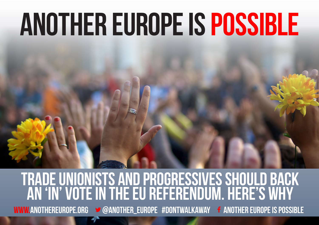## **ANOTHER EUROPE IS POSSIBLE**

## **WWW.ANOTHEREUROPE.ORG**  $\rightarrow \textcircled{a}$ **ANOTHER\_EUROPE #DONTWALKAWAY <b>f** another europe is possible **Trade unionists and progressives should back an 'in' vote in the EU referendum. Here's why**